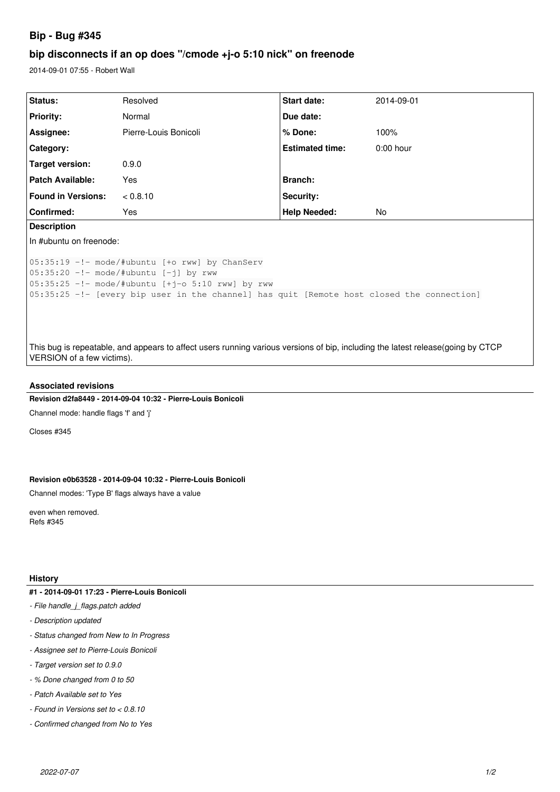# **Bip - Bug #345**

# **bip disconnects if an op does "/cmode +j-o 5:10 nick" on freenode**

2014-09-01 07:55 - Robert Wall

| Status:                                                                                             | Resolved              | <b>Start date:</b>     | 2014-09-01  |  |
|-----------------------------------------------------------------------------------------------------|-----------------------|------------------------|-------------|--|
| <b>Priority:</b>                                                                                    | Normal                | Due date:              |             |  |
| Assignee:                                                                                           | Pierre-Louis Bonicoli | % Done:                | 100%        |  |
| <b>Category:</b>                                                                                    |                       | <b>Estimated time:</b> | $0:00$ hour |  |
| Target version:                                                                                     | 0.9.0                 |                        |             |  |
| <b>Patch Available:</b>                                                                             | Yes                   | Branch:                |             |  |
| <b>Found in Versions:</b>                                                                           | < 0.8.10              | <b>Security:</b>       |             |  |
| Confirmed:                                                                                          | Yes                   | <b>Help Needed:</b>    | No          |  |
| <b>Description</b>                                                                                  |                       |                        |             |  |
| In #ubuntu on freenode:                                                                             |                       |                        |             |  |
| $[05:35:19 -!$ mode/#ubuntu [+o rww] by ChanServ<br>$105.35.20 - 1 -$ mode $#$ ubuntu $[-1]$ by rww |                       |                        |             |  |

05:35:20 -!- mode/#ubuntu [-j] by rww 05:35:25 -!- mode/#ubuntu [+j-o 5:10 rww] by rww 05:35:25 -!- [every bip user in the channel] has quit [Remote host closed the connection]

This bug is repeatable, and appears to affect users running various versions of bip, including the latest release(going by CTCP VERSION of a few victims).

### **Associated revisions**

**Revision d2fa8449 - 2014-09-04 10:32 - Pierre-Louis Bonicoli**

Channel mode: handle flags 'f' and 'j'

Closes #345

### **Revision e0b63528 - 2014-09-04 10:32 - Pierre-Louis Bonicoli**

Channel modes: 'Type B' flags always have a value

even when removed. Refs #345

### **History**

# **#1 - 2014-09-01 17:23 - Pierre-Louis Bonicoli**

- *File handle\_j\_flags.patch added*
- *Description updated*
- *Status changed from New to In Progress*
- *Assignee set to Pierre-Louis Bonicoli*
- *Target version set to 0.9.0*
- *% Done changed from 0 to 50*
- *Patch Available set to Yes*
- *Found in Versions set to < 0.8.10*
- *Confirmed changed from No to Yes*